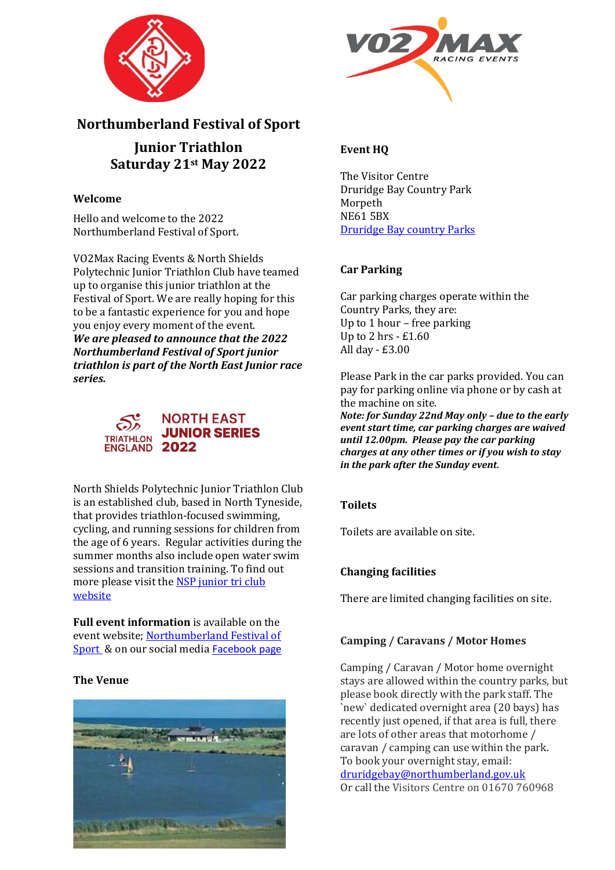



# **Northumberland Festival of Sport**

**Junior Triathlon Saturday 21st May 2022**

### **Welcome**

Hello and welcome to the 2022 Northumberland Festival of Sport.

VO2Max Racing Events & North Shields Polytechnic Junior Triathlon Club have teamed up to organise this junior triathlon at the Festival of Sport. We are really hoping for this to be a fantastic experience for you and hope you enjoy every moment of the event. *We are pleased to announce that the 2022 Northumberland Festival of Sport junior triathlon is part of the North East Junior race series.*



North Shields Polytechnic Junior Triathlon Club is an established club, based in North Tyneside, that provides triathlon-focused swimming, cycling, and running sessions for children from the age of 6 years. Regular activities during the summer months also include open water swim sessions and transition training. To find out more please visit th[e NSP junior tri club](http://nspoly.org/tag/nsp-junior-triathlon/)  [website](http://nspoly.org/tag/nsp-junior-triathlon/)

**Full event information** is available on the event website[; Northumberland Festival of](https://www.vo2maxracingevents.co.uk/events/1)  [Sport](https://www.vo2maxracingevents.co.uk/events/1) & on our social media [Facebook page](https://www.facebook.com/vo2maxracing)

# **The Venue**



# **Event HQ**

The Visitor Centre Druridge Bay Country Park Morpeth NE61 5BX [Druridge Bay country Parks](https://www.northumberland.gov.uk/Local/Country-parks-visitor-centres-coastal-sitesPubl/Druridge-Bay-Country-Park-visitor-centre.aspx)

### **Car Parking**

Car parking charges operate within the Country Parks, they are: Up to 1 hour – free parking Up to 2 hrs - £1.60 All day - £3.00

Please Park in the car parks provided. You can pay for parking online via phone or by cash at the machine on site.

*Note: for Sunday 22nd May only – due to the early event start time, car parking charges are waived until 12.00pm. Please pay the car parking charges at any other times or if you wish to stay in the park after the Sunday event*.

# **Toilets**

Toilets are available on site.

# **Changing facilities**

There are limited changing facilities on site.

#### **Camping / Caravans / Motor Homes**

Camping / Caravan / Motor home overnight stays are allowed within the country parks, but please book directly with the park staff. The `new` dedicated overnight area (20 bays) has recently just opened, if that area is full, there are lots of other areas that motorhome / caravan / camping can use within the park. To book your overnight stay, email: [druridgebay@northumberland.gov.uk](mailto:druridgebay@northumberland.gov.uk) Or call the Visitors Centre on 01670 760968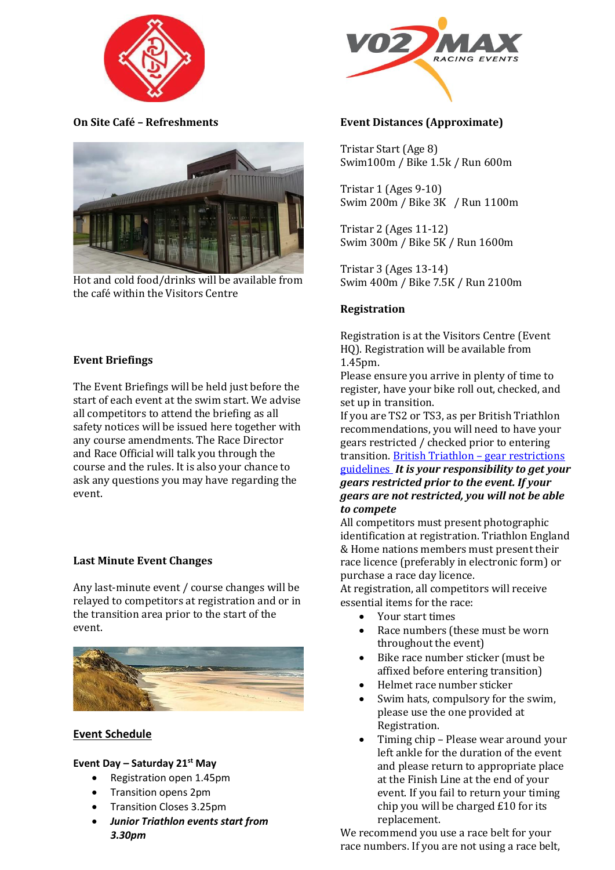

**On Site Café – Refreshments** 



Hot and cold food/drinks will be available from the café within the Visitors Centre

#### **Event Briefings**

The Event Briefings will be held just before the start of each event at the swim start. We advise all competitors to attend the briefing as all safety notices will be issued here together with any course amendments. The Race Director and Race Official will talk you through the course and the rules. It is also your chance to ask any questions you may have regarding the event.

#### **Last Minute Event Changes**

Any last-minute event / course changes will be relayed to competitors at registration and or in the transition area prior to the start of the event.



#### **Event Schedule**

#### **Event Day – Saturday 21st May**

- Registration open 1.45pm
- Transition opens 2pm
- Transition Closes 3.25pm
- *Junior Triathlon events start from 3.30pm*



#### **Event Distances (Approximate)**

Tristar Start (Age 8) Swim100m / Bike 1.5k / Run 600m

Tristar 1 (Ages 9-10) Swim 200m / Bike 3K / Run 1100m

Tristar 2 (Ages 11-12) Swim 300m / Bike 5K / Run 1600m

Tristar 3 (Ages 13-14) Swim 400m / Bike 7.5K / Run 2100m

#### **Registration**

Registration is at the Visitors Centre (Event HQ). Registration will be available from 1.45pm.

Please ensure you arrive in plenty of time to register, have your bike roll out, checked, and set up in transition.

If you are TS2 or TS3, as per British Triathlon recommendations, you will need to have your gears restricted / checked prior to entering transition. [British Triathlon](https://www.britishtriathlon.org/gear-restrictions) – gear restrictions [guidelines](https://www.britishtriathlon.org/gear-restrictions) *It is your responsibility to get your gears restricted prior to the event. If your gears are not restricted, you will not be able to compete*

All competitors must present photographic identification at registration. Triathlon England & Home nations members must present their race licence (preferably in electronic form) or purchase a race day licence.

At registration, all competitors will receive essential items for the race:

- Your start times
- Race numbers (these must be worn throughout the event)
- Bike race number sticker (must be affixed before entering transition)
- Helmet race number sticker
- Swim hats, compulsory for the swim, please use the one provided at Registration.
- Timing chip Please wear around your left ankle for the duration of the event and please return to appropriate place at the Finish Line at the end of your event. If you fail to return your timing chip you will be charged £10 for its replacement.

We recommend you use a race belt for your race numbers. If you are not using a race belt,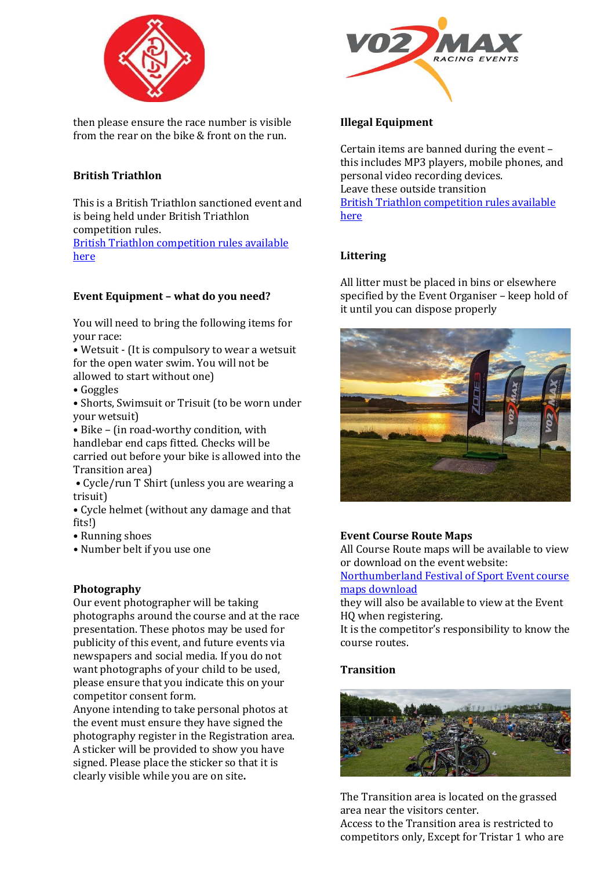

then please ensure the race number is visible from the rear on the bike & front on the run.

# **British Triathlon**

This is a British Triathlon sanctioned event and is being held under British Triathlon competition rules.

[British Triathlon competition rules available](https://www.britishtriathlon.org/britain/documents/events/competition-rules/british-triathlon---know-the-rules-2018.pdf)  [here](https://www.britishtriathlon.org/britain/documents/events/competition-rules/british-triathlon---know-the-rules-2018.pdf)

# **Event Equipment – what do you need?**

You will need to bring the following items for your race:

• Wetsuit - (It is compulsory to wear a wetsuit for the open water swim. You will not be allowed to start without one)

• Goggles

• Shorts, Swimsuit or Trisuit (to be worn under your wetsuit)

• Bike – (in road-worthy condition, with handlebar end caps fitted. Checks will be carried out before your bike is allowed into the Transition area)

**•** Cycle/run T Shirt (unless you are wearing a trisuit)

• Cycle helmet (without any damage and that fits!)

- Running shoes
- **•** Number belt if you use one

# **Photography**

Our event photographer will be taking photographs around the course and at the race presentation. These photos may be used for publicity of this event, and future events via newspapers and social media. If you do not want photographs of your child to be used, please ensure that you indicate this on your competitor consent form.

Anyone intending to take personal photos at the event must ensure they have signed the photography register in the Registration area. A sticker will be provided to show you have signed. Please place the sticker so that it is clearly visible while you are on site**.**



### **Illegal Equipment**

Certain items are banned during the event – this includes MP3 players, mobile phones, and personal video recording devices. Leave these outside transition [British Triathlon competition rules available](https://www.britishtriathlon.org/britain/documents/events/competition-rules/british-triathlon---know-the-rules-2018.pdf)  [here](https://www.britishtriathlon.org/britain/documents/events/competition-rules/british-triathlon---know-the-rules-2018.pdf)

# **Littering**

All litter must be placed in bins or elsewhere specified by the Event Organiser – keep hold of it until you can dispose properly



# **Event Course Route Maps**

All Course Route maps will be available to view or download on the event website:

[Northumberland Festival of Sport Event course](https://www.vo2maxracingevents.co.uk/events/1)  [maps download](https://www.vo2maxracingevents.co.uk/events/1)

they will also be available to view at the Event HQ when registering.

It is the competitor's responsibility to know the course routes.

# **Transition**



The Transition area is located on the grassed area near the visitors center. Access to the Transition area is restricted to competitors only, Except for Tristar 1 who are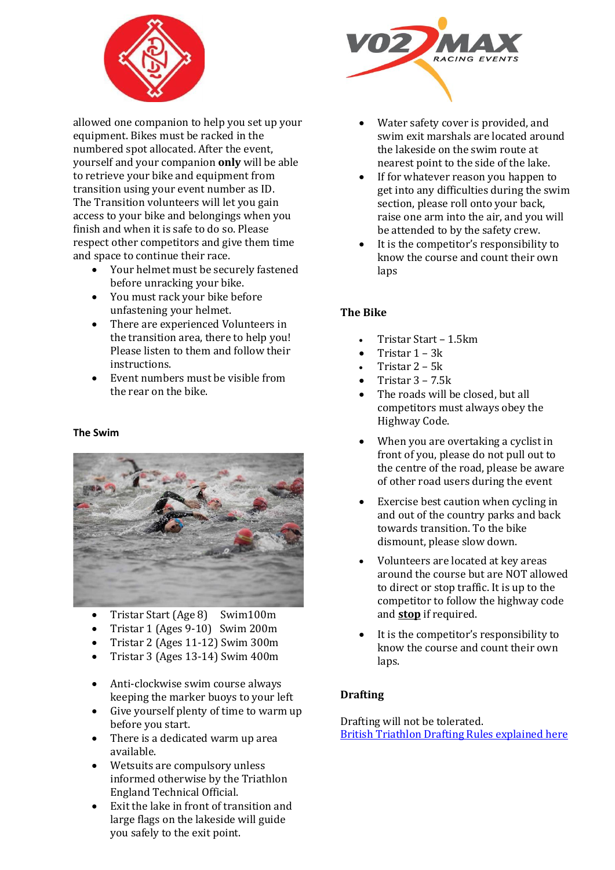

allowed one companion to help you set up your equipment. Bikes must be racked in the numbered spot allocated. After the event, yourself and your companion **only** will be able to retrieve your bike and equipment from transition using your event number as ID. The Transition volunteers will let you gain access to your bike and belongings when you finish and when it is safe to do so. Please respect other competitors and give them time and space to continue their race.

- Your helmet must be securely fastened before unracking your bike.
- You must rack your bike before unfastening your helmet.
- There are experienced Volunteers in the transition area, there to help you! Please listen to them and follow their instructions.
- Event numbers must be visible from the rear on the bike.

#### **The Swim**



- Tristar Start (Age 8) Swim100m
- Tristar 1 (Ages 9-10) Swim 200m
- Tristar 2 (Ages 11-12) Swim 300m
- Tristar 3 (Ages 13-14) Swim 400m
- Anti-clockwise swim course always keeping the marker buoys to your left
- Give yourself plenty of time to warm up before you start.
- There is a dedicated warm up area available.
- Wetsuits are compulsory unless informed otherwise by the Triathlon England Technical Official.
- Exit the lake in front of transition and large flags on the lakeside will guide you safely to the exit point.



- Water safety cover is provided, and swim exit marshals are located around the lakeside on the swim route at nearest point to the side of the lake.
- If for whatever reason you happen to get into any difficulties during the swim section, please roll onto your back, raise one arm into the air, and you will be attended to by the safety crew.
- It is the competitor's responsibility to know the course and count their own laps

### **The Bike**

- Tristar Start 1.5km
- Tristar 1 3k
- Tristar 2 5k
- Tristar  $3 7.5k$
- The roads will be closed, but all competitors must always obey the Highway Code.
- When you are overtaking a cyclist in front of you, please do not pull out to the centre of the road, please be aware of other road users during the event
- Exercise best caution when cycling in and out of the country parks and back towards transition. To the bike dismount, please slow down.
- Volunteers are located at key areas around the course but are NOT allowed to direct or stop traffic. It is up to the competitor to follow the highway code and **stop** if required.
- It is the competitor's responsibility to know the course and count their own laps.

# **Drafting**

Drafting will not be tolerated. [British Triathlon Drafting Rules explained here](https://www.britishtriathlon.org/britain/documents/events/competition-rules/british-triathlon---drafting-rules-explained-2018.pdf)